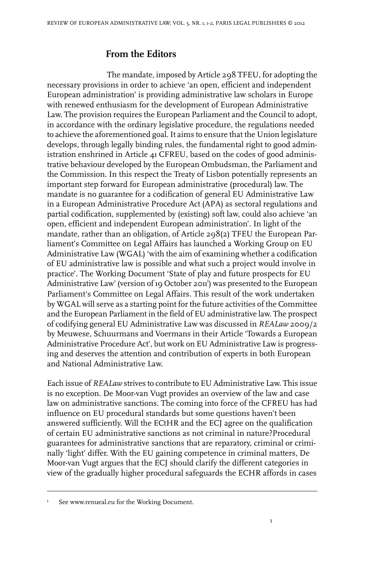## **From the Editors**

The mandate, imposed by Article 298 TFEU, for adopting the necessary provisions in order to achieve 'an open, efficient and independent European administration' is providing administrative law scholars in Europe with renewed enthusiasm for the development of European Administrative Law. The provision requires the European Parliament and the Council to adopt, in accordance with the ordinary legislative procedure, the regulations needed to achieve the aforementioned goal. It aims to ensure that the Union legislature develops, through legally binding rules, the fundamental right to good administration enshrined in Article 41 CFREU, based on the codes of good administrative behaviour developed by the European Ombudsman, the Parliament and the Commission. In this respect the Treaty of Lisbon potentially represents an important step forward for European administrative (procedural) law. The mandate is no guarantee for a codification of general EU Administrative Law in a European Administrative Procedure Act (APA) as sectoral regulations and partial codification, supplemented by (existing) soft law, could also achieve 'an open, efficient and independent European administration'. In light of the mandate, rather than an obligation, of Article 298(2) TFEU the European Parliament's Committee on Legal Affairs has launched a Working Group on EU Administrative Law (WGAL) 'with the aim of examining whether a codification of EU administrative law is possible and what such a project would involve in practice'. The Working Document 'State of play and future prospects for EU Administrative Law' (version of 19 October 2011<sup>)</sup> was presented to the European Parliament's Committee on Legal Affairs. This result of the work undertaken by WGAL will serve as a starting point for the future activities of the Committee and the European Parliament in the field of EU administrative law. The prospect of codifying general EU Administrative Law was discussed in *REALaw* 2009/2 by Meuwese, Schuurmans and Voermans in their Article 'Towards a European Administrative Procedure Act', but work on EU Administrative Law is progressing and deserves the attention and contribution of experts in both European and National Administrative Law.

Each issue of *REALaw* strives to contribute to EU Administrative Law. This issue is no exception. De Moor-van Vugt provides an overview of the law and case law on administrative sanctions. The coming into force of the CFREU has had influence on EU procedural standards but some questions haven't been answered sufficiently. Will the ECtHR and the ECJ agree on the qualification of certain EU administrative sanctions as not criminal in nature?Procedural guarantees for administrative sanctions that are reparatory, criminal or criminally 'light' differ. With the EU gaining competence in criminal matters, De Moor-van Vugt argues that the ECJ should clarify the different categories in view of the gradually higher procedural safeguards the ECHR affords in cases

1

See www.renueal.eu for the Working Document.